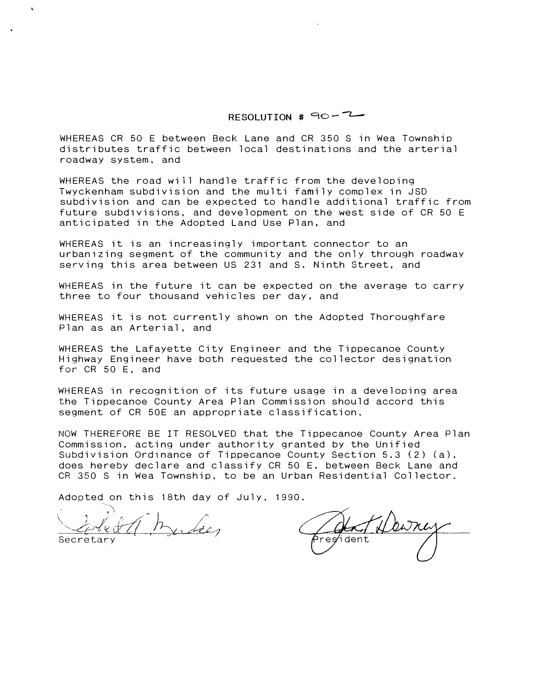RESOLUTION  $#$  90-7-

WHEREAS CR 50 E between Beck Lane and CR 350 S in Wea Township distributes traffic between local destinations and the arterial roadway system, and

WHEREAS the road will handle traffic from the developing Twyckenham subdivision and the multi family complex in JSD subdivision and can be expected to handle additional traffic from future subdivisions. and development on the west side of CR 50 E anticipated in the Adopted Land Use Plan, and

WHEREAS it is an increasingly important connector to an urbanizing segment of the community and the only through roadway serving this area between US 231 and S. Ninth Street, and

WHEREAS in the future it can be expected on the average to carry three to four thousand vehicles per day, and

WHEREAS it is not currently shown on the Adopted Thoroughfare Plan as an Arterial, and

WHEREAS the Lafayette City Engineer and the Tippecanoe County Highway Engineer have both requested the collector designation for CR 50 E, and

WHEREAS in recognition of its future usage in a developing area the Tippecanoe County Area Plan Commission should accord this segment of CR 50E an appropriate classification,

NOW THEREFORE BE IT RESOLVED that the Tippecanoe County Area Plan Commission. acting under authority granted by the Unified Subdivision Ordinance of Tippecanoe County Section 5.3 (2) (a). does hereby declare and classify CR 50 E. between Beck Lane and CR 350 S in Wea Township, to be an Urban Residential Collector.

Adopted on this 18th day of July, 1990.

Secretary

resident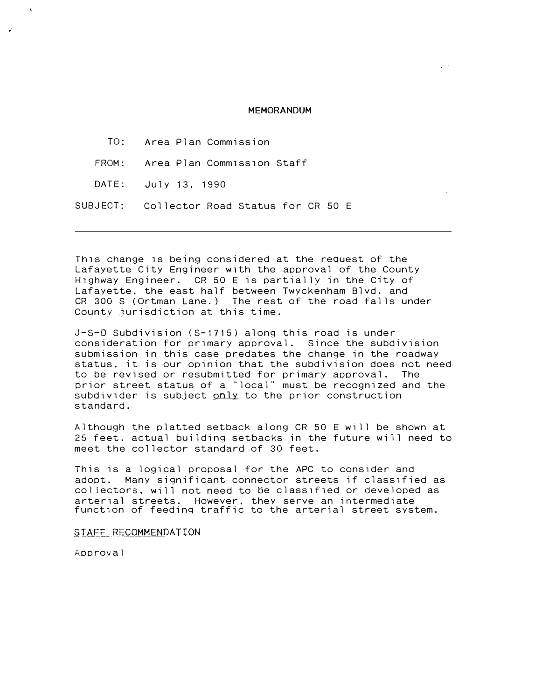## MEMORANDUM

TO: FROM: DATE: SUBJECT: Area Plan Commission Area Plan Comm1ss1on Staff July 13, 1990 Collector Road Status for CR 50 E

This change is being considered at the request of the Lafayette City Engineer with the approval of the County Highway Engineer. CR 50 E is partially in the City of Lafayette, the east half between Twyckenham Blvd. and CR 300 S (Ortman Lane.) The rest of the road falls under County jurisdiction at this time.

J-S-D Subdivision (S-1715) along this road is under consideration for primary approval. Since the subdivision submission in this case predates the change in the roadway status. it is our opinion that the subdivision does not need to be revised or resubmitted for primary approval. The prior street status of a "local" must be recognized and the subdivider is subject only to the prior construction standard.

Although the platted setback along CR 50 E will be shown at 25 feet. actual building setbacks in the future will need to meet the collector standard of 30 feet.

This is a logical proposal for the APC to consider and adopt. Many significant connector streets if classified as collectors, will not need to be classified or developed as arterial streets. However, they serve an intermediate function of feeding traffic to the arterial street system.

STAFF RECOMMENDATION

Approval

 $\lambda$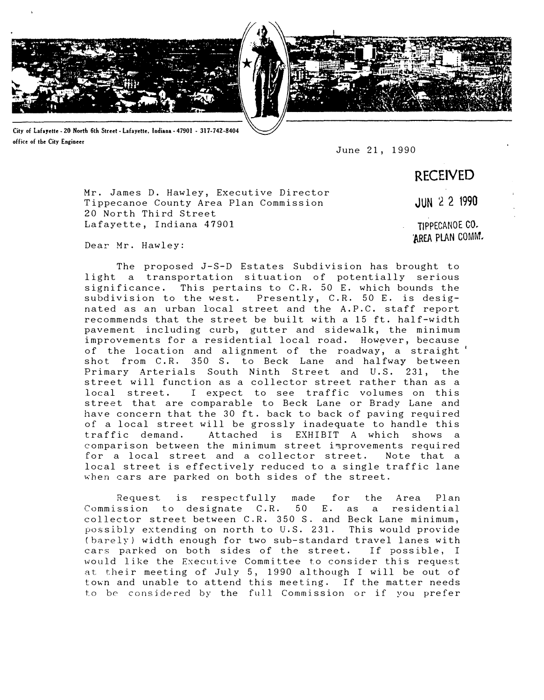

City of Lafayette. 20 North 6th Street· Lafayette, Indiana· 47901 • 317-742-8404 office of tbe City Engineer

June 21, 1990

RECEIVED

Mr. James D. Hawley, Executive Director Tippecanoe County Area Plan Commission JUN 2 2 1990 20 North Third Street Lafayette, Indiana 47901 CO.

Dear Mr. Hawley:

The proposed J-S-D Estates Subdivision has brought to light a transportation situation of potentially serious significance. This pertains to C.R. 50 E. which bounds the subdivision to the west. Presently, C.R. 50 E. is designated as an urban local street and the A.P.C. staff report recommends that the street be built with a 15 ft. half-width pavement including curb, gutter and sidewalk, the minimum improvements for a residential local road. However, because of the location and alignment of the roadway, a straight' shot from C.R. 350 S. to Beck Lane and halfway between Primary Arterials South Ninth Street and U.S. 231, the street will function as a collector street rather than as a local street. I expect to see traffic volumes on this street that are comparable to Beck Lane or Brady Lane and have concern that the 30 ft. back to back of paving required of a local street will be grossly inadequate to handle this traffic demand. Attached is EXHIBIT A which shows a comparison between the minimum street iprovements required for a local street and a collector street. Note that a local street is effectively reduced to a single traffic lane when cars are parked on both sides of the street.

Request is respectfully made for the Area Plan Commission to designate C.R. 50 E. as a residential collector street between C.R. 350 S. and Beck Lane minimum, possibly extending on north to U.S. 231. This would provide (barely) width enough for two sub-standard travel lanes with cars parked on both sides of the street. If possible, I would like the Executive Committee to consider this request at their meeting of July 5, 1990 although I will be out of town and unable to attend this meeting. If the matter needs to be considered by the full Commission or if you prefer

'MEA PLAN COMM.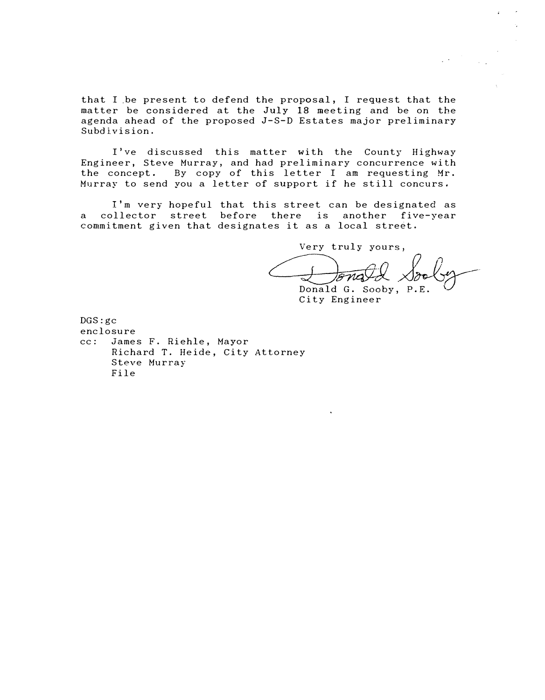that I be present to defend the proposal, I request that the matter be considered at the July 18 meeting and be on the agenda ahead of the proposed J-S-D Estates major preliminary Subdivision.

I've discussed this matter with the County Highway Engineer, Steve Murray, and had preliminary concurrence with the concept. By copy of this letter I am requesting Mr. Murray to send you a letter of support if he still concurs.

I'm very hopeful that this street can be designated as a collector street before there is another five-year commitment given that designates it as a local street.

> Very truly yours, tonald Sole

Donald G. Sooby, P.E. City Engineer

DGS:gc enclosure cc: James F. Riehle, Mayor Richard T. Heide, City Attorney Steve Murray File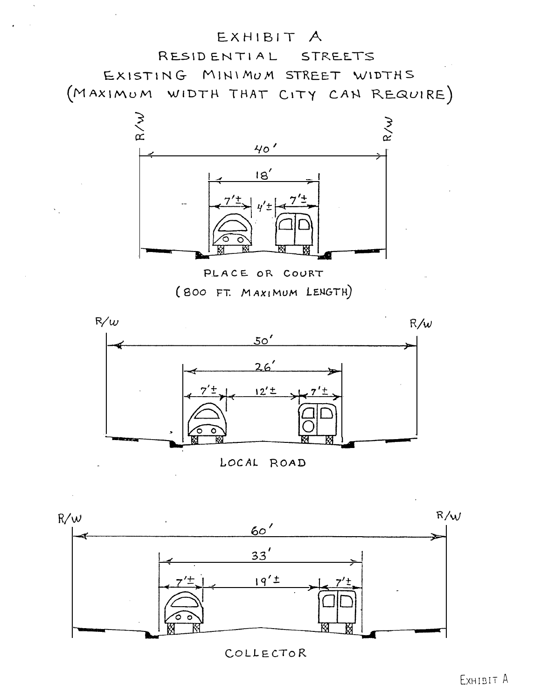## EXHIBIT A

RESIDENTIAL STREETS EXISTING MINIMUM STREET WIDTHS (MAXIMUM WIDTH THAT CITY CAN REQUIRE)



PLACE OR COURT

(BOO FT. MAXIMUM LENGTH)



LOCAL ROAD



COLLECTOR